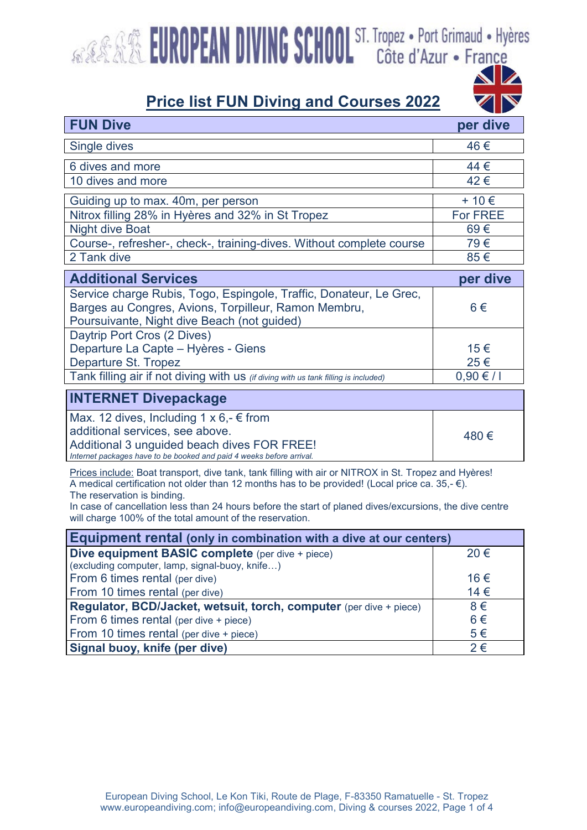# **REAL EUROPEAN DIVING SCHOOL** ST. Tropez • Port Grimaud • Hyères

### **Price list FUN Diving and Courses 2022**



*Internet packages have to be booked and paid 4 weeks before arrival.*

Prices include: Boat transport, dive tank, tank filling with air or NITROX in St. Tropez and Hyères! A medical certification not older than 12 months has to be provided! (Local price ca. 35.-  $\epsilon$ ). The reservation is binding.

In case of cancellation less than 24 hours before the start of planed dives/excursions, the dive centre will charge 100% of the total amount of the reservation.

| <b>Equipment rental (only in combination with a dive at our centers)</b> |         |  |
|--------------------------------------------------------------------------|---------|--|
| <b>Dive equipment BASIC complete</b> (per dive + piece)                  | 20€     |  |
| (excluding computer, lamp, signal-buoy, knife)                           |         |  |
| From 6 times rental (per dive)                                           | 16€     |  |
| From 10 times rental (per dive)                                          | 14 €    |  |
| Regulator, BCD/Jacket, wetsuit, torch, computer (per dive + piece)       | $8 \in$ |  |
| From 6 times rental (per dive + piece)                                   | $6 \in$ |  |
| From 10 times rental (per dive + piece)                                  | $5 \in$ |  |
| Signal buoy, knife (per dive)                                            | $2 \in$ |  |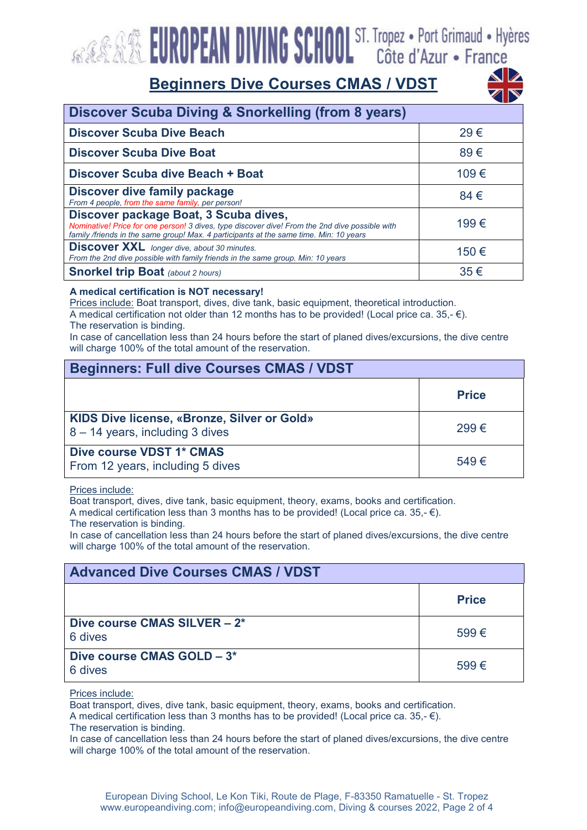### **EUROPEAN DIVING SCHOOL** ST. Tropez • Port Grimaud • Hyères

**Beginners Dive Courses CMAS / VDST**



|                                                                                                                                                                                                                                   | --   |
|-----------------------------------------------------------------------------------------------------------------------------------------------------------------------------------------------------------------------------------|------|
| Discover Scuba Diving & Snorkelling (from 8 years)                                                                                                                                                                                |      |
| <b>Discover Scuba Dive Beach</b>                                                                                                                                                                                                  | 29€  |
| <b>Discover Scuba Dive Boat</b>                                                                                                                                                                                                   | 89€  |
| Discover Scuba dive Beach + Boat                                                                                                                                                                                                  | 109€ |
| Discover dive family package<br>From 4 people, from the same family, per person!                                                                                                                                                  | 84 € |
| Discover package Boat, 3 Scuba dives,<br>Nominative! Price for one person! 3 dives, type discover dive! From the 2nd dive possible with<br>family /friends in the same group! Max. 4 participants at the same time. Min: 10 years | 199€ |
| <b>Discover XXL</b> longer dive, about 30 minutes.<br>From the 2nd dive possible with family friends in the same group. Min: 10 years                                                                                             | 150€ |
| <b>Snorkel trip Boat</b> (about 2 hours)                                                                                                                                                                                          | 35€  |

#### **A medical certification is NOT necessary!**

Prices include: Boat transport, dives, dive tank, basic equipment, theoretical introduction. A medical certification not older than 12 months has to be provided! (Local price ca. 35,-  $\epsilon$ ).

The reservation is binding.

In case of cancellation less than 24 hours before the start of planed dives/excursions, the dive centre will charge 100% of the total amount of the reservation.

| <b>Beginners: Full dive Courses CMAS / VDST</b>                                |              |  |
|--------------------------------------------------------------------------------|--------------|--|
|                                                                                | <b>Price</b> |  |
| KIDS Dive license, «Bronze, Silver or Gold»<br>8 - 14 years, including 3 dives | 299€         |  |
| Dive course VDST 1* CMAS<br>From 12 years, including 5 dives                   | $549 \in$    |  |

Prices include:

Boat transport, dives, dive tank, basic equipment, theory, exams, books and certification.

A medical certification less than 3 months has to be provided! (Local price ca. 35,-  $\epsilon$ ).

The reservation is binding.

In case of cancellation less than 24 hours before the start of planed dives/excursions, the dive centre will charge 100% of the total amount of the reservation.

| <b>Advanced Dive Courses CMAS / VDST</b> |              |
|------------------------------------------|--------------|
|                                          | <b>Price</b> |
| Dive course CMAS SILVER - 2*<br>6 dives  | 599€         |
| Dive course CMAS GOLD - 3*<br>6 dives    | 599€         |

Prices include:

Boat transport, dives, dive tank, basic equipment, theory, exams, books and certification.

A medical certification less than 3 months has to be provided! (Local price ca. 35,-  $\epsilon$ ).

The reservation is binding.

In case of cancellation less than 24 hours before the start of planed dives/excursions, the dive centre will charge 100% of the total amount of the reservation.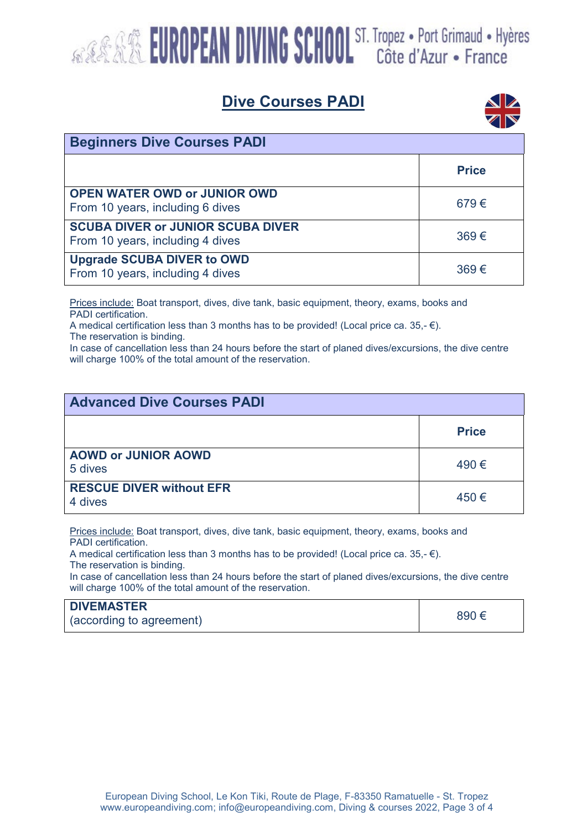# **REAL EUROPEAN DIVING SCHOOL** ST. Tropez • Port Grimaud • Hyères

### **Dive Courses PADI**



| <b>Beginners Dive Courses PADI</b>                                           |              |  |
|------------------------------------------------------------------------------|--------------|--|
|                                                                              | <b>Price</b> |  |
| <b>OPEN WATER OWD or JUNIOR OWD</b><br>From 10 years, including 6 dives      | 679€         |  |
| <b>SCUBA DIVER or JUNIOR SCUBA DIVER</b><br>From 10 years, including 4 dives | 369€         |  |
| <b>Upgrade SCUBA DIVER to OWD</b><br>From 10 years, including 4 dives        | $369 \in$    |  |

Prices include: Boat transport, dives, dive tank, basic equipment, theory, exams, books and PADI certification.

A medical certification less than 3 months has to be provided! (Local price ca.  $35, -0$ ).

The reservation is binding.

In case of cancellation less than 24 hours before the start of planed dives/excursions, the dive centre will charge 100% of the total amount of the reservation.

| <b>Advanced Dive Courses PADI</b>          |              |
|--------------------------------------------|--------------|
|                                            | <b>Price</b> |
| <b>AOWD or JUNIOR AOWD</b><br>5 dives      | 490€         |
| <b>RESCUE DIVER without EFR</b><br>4 dives | 450€         |

Prices include: Boat transport, dives, dive tank, basic equipment, theory, exams, books and PADI certification.

A medical certification less than 3 months has to be provided! (Local price ca. 35,- $\epsilon$ ). The reservation is binding.

In case of cancellation less than 24 hours before the start of planed dives/excursions, the dive centre will charge 100% of the total amount of the reservation.

#### **DIVEMASTER**

(according to agreement) 890 €